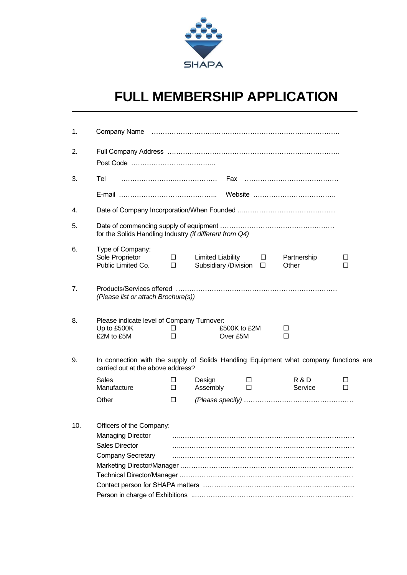

 $\overline{a}$ 

## **FULL MEMBERSHIP APPLICATION**

| 1.  |                                                                                                                            |                  |                                                           |             |                      |             |  |  |  |  |  |  |
|-----|----------------------------------------------------------------------------------------------------------------------------|------------------|-----------------------------------------------------------|-------------|----------------------|-------------|--|--|--|--|--|--|
| 2.  |                                                                                                                            |                  |                                                           |             |                      |             |  |  |  |  |  |  |
| 3.  | Tel                                                                                                                        |                  |                                                           |             |                      |             |  |  |  |  |  |  |
|     |                                                                                                                            |                  |                                                           |             |                      |             |  |  |  |  |  |  |
| 4.  |                                                                                                                            |                  |                                                           |             |                      |             |  |  |  |  |  |  |
| 5.  | for the Solids Handling Industry (if different from Q4)                                                                    |                  |                                                           |             |                      |             |  |  |  |  |  |  |
| 6.  | Type of Company:<br>Sole Proprietor<br>Public Limited Co.                                                                  | $\Box$<br>$\Box$ | $Limited Liability$ $\Box$<br>Subsidiary /Division $\Box$ |             | Partnership<br>Other | $\Box$<br>П |  |  |  |  |  |  |
| 7.  | (Please list or attach Brochure(s))                                                                                        |                  |                                                           |             |                      |             |  |  |  |  |  |  |
| 8.  | Please indicate level of Company Turnover:<br>Up to £500K<br>£2M to £5M                                                    | ⊔<br>П           | £500K to £2M<br>Over £5M                                  |             |                      |             |  |  |  |  |  |  |
| 9.  | In connection with the supply of Solids Handling Equipment what company functions are<br>carried out at the above address? |                  |                                                           |             |                      |             |  |  |  |  |  |  |
|     | <b>Sales</b><br>Manufacture                                                                                                | ⊔<br>$\Box$      | Design<br>Assembly                                        | ш<br>$\Box$ | R & D<br>Service     | ப<br>П      |  |  |  |  |  |  |
|     | Other                                                                                                                      | $\Box$           |                                                           |             |                      |             |  |  |  |  |  |  |
| 10. | Officers of the Company:<br><b>Managing Director</b><br><b>Sales Director</b><br><b>Company Secretary</b>                  |                  |                                                           |             |                      |             |  |  |  |  |  |  |